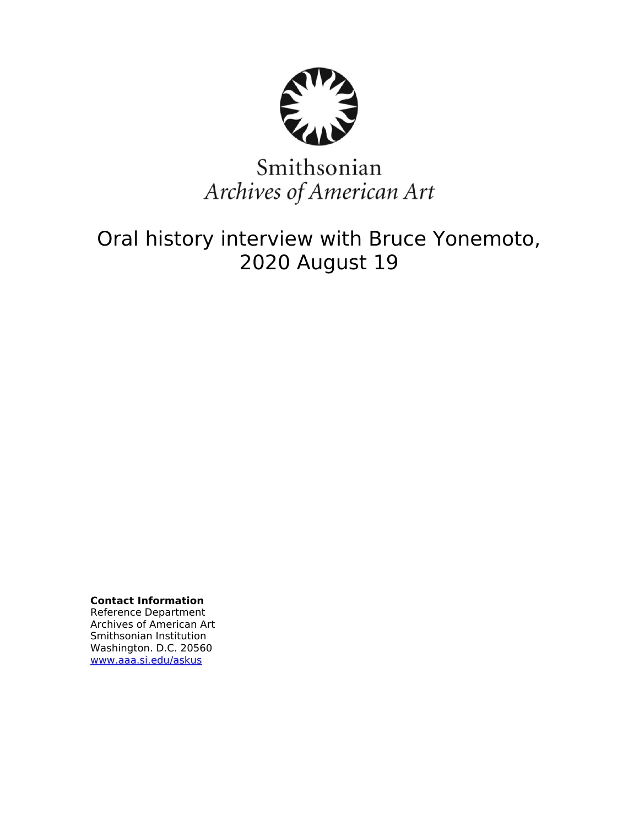

# Smithsonian Archives of American Art

## Oral history interview with Bruce Yonemoto, 2020 August 19

**Contact Information** Reference Department Archives of American Art Smithsonian Institution Washington. D.C. 20560 [www.aaa.si.edu/askus](http://www.aaa.si.edu/askus)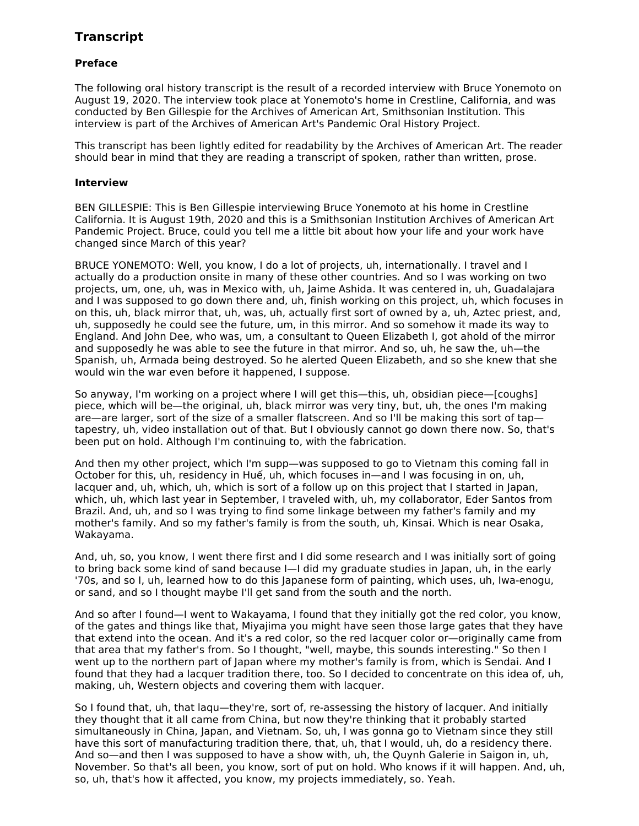### **Transcript**

#### **Preface**

The following oral history transcript is the result of a recorded interview with Bruce Yonemoto on August 19, 2020. The interview took place at Yonemoto's home in Crestline, California, and was conducted by Ben Gillespie for the Archives of American Art, Smithsonian Institution. This interview is part of the Archives of American Art's Pandemic Oral History Project.

This transcript has been lightly edited for readability by the Archives of American Art. The reader should bear in mind that they are reading a transcript of spoken, rather than written, prose.

#### **Interview**

BEN GILLESPIE: This is Ben Gillespie interviewing Bruce Yonemoto at his home in Crestline California. It is August 19th, 2020 and this is a Smithsonian Institution Archives of American Art Pandemic Project. Bruce, could you tell me a little bit about how your life and your work have changed since March of this year?

BRUCE YONEMOTO: Well, you know, I do a lot of projects, uh, internationally. I travel and I actually do a production onsite in many of these other countries. And so I was working on two projects, um, one, uh, was in Mexico with, uh, Jaime Ashida. It was centered in, uh, Guadalajara and I was supposed to go down there and, uh, finish working on this project, uh, which focuses in on this, uh, black mirror that, uh, was, uh, actually first sort of owned by a, uh, Aztec priest, and, uh, supposedly he could see the future, um, in this mirror. And so somehow it made its way to England. And John Dee, who was, um, a consultant to Queen Elizabeth I, got ahold of the mirror and supposedly he was able to see the future in that mirror. And so, uh, he saw the, uh—the Spanish, uh, Armada being destroyed. So he alerted Queen Elizabeth, and so she knew that she would win the war even before it happened, I suppose.

So anyway, I'm working on a project where I will get this—this, uh, obsidian piece—[coughs] piece, which will be—the original, uh, black mirror was very tiny, but, uh, the ones I'm making are—are larger, sort of the size of a smaller flatscreen. And so I'll be making this sort of tap tapestry, uh, video installation out of that. But I obviously cannot go down there now. So, that's been put on hold. Although I'm continuing to, with the fabrication.

And then my other project, which I'm supp—was supposed to go to Vietnam this coming fall in October for this, uh, residency in Huế, uh, which focuses in—and I was focusing in on, uh, lacquer and, uh, which, uh, which is sort of a follow up on this project that I started in Japan, which, uh, which last year in September, I traveled with, uh, my collaborator, Eder Santos from Brazil. And, uh, and so I was trying to find some linkage between my father's family and my mother's family. And so my father's family is from the south, uh, Kinsai. Which is near Osaka, Wakayama.

And, uh, so, you know, I went there first and I did some research and I was initially sort of going to bring back some kind of sand because I—I did my graduate studies in Japan, uh, in the early '70s, and so I, uh, learned how to do this Japanese form of painting, which uses, uh, Iwa-enogu, or sand, and so I thought maybe I'll get sand from the south and the north.

And so after I found—I went to Wakayama, I found that they initially got the red color, you know, of the gates and things like that, Miyajima you might have seen those large gates that they have that extend into the ocean. And it's a red color, so the red lacquer color or—originally came from that area that my father's from. So I thought, "well, maybe, this sounds interesting." So then I went up to the northern part of Japan where my mother's family is from, which is Sendai. And I found that they had a lacquer tradition there, too. So I decided to concentrate on this idea of, uh, making, uh, Western objects and covering them with lacquer.

So I found that, uh, that laqu—they're, sort of, re-assessing the history of lacquer. And initially they thought that it all came from China, but now they're thinking that it probably started simultaneously in China, Japan, and Vietnam. So, uh, I was gonna go to Vietnam since they still have this sort of manufacturing tradition there, that, uh, that I would, uh, do a residency there. And so—and then I was supposed to have a show with, uh, the Quynh Galerie in Saigon in, uh, November. So that's all been, you know, sort of put on hold. Who knows if it will happen. And, uh, so, uh, that's how it affected, you know, my projects immediately, so. Yeah.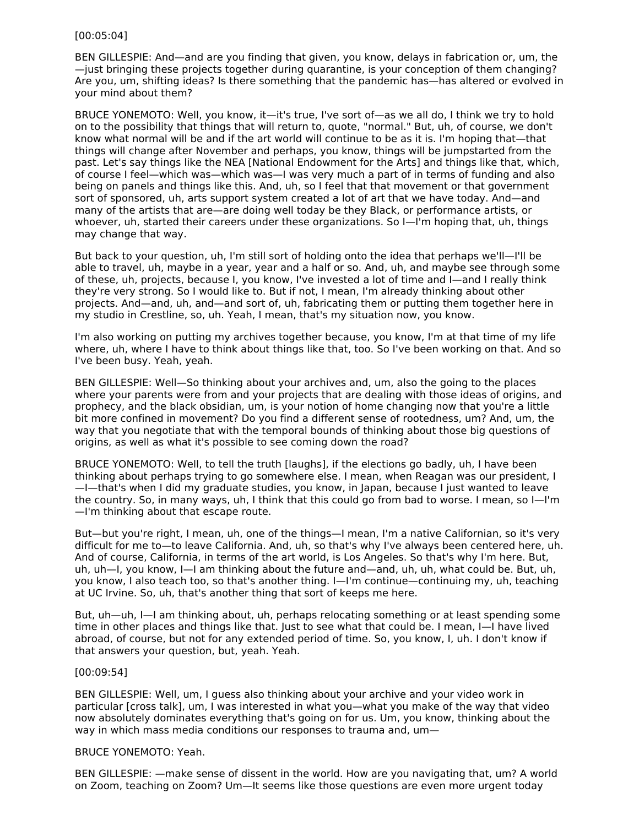#### [00:05:04]

BEN GILLESPIE: And—and are you finding that given, you know, delays in fabrication or, um, the —just bringing these projects together during quarantine, is your conception of them changing? Are you, um, shifting ideas? Is there something that the pandemic has—has altered or evolved in your mind about them?

BRUCE YONEMOTO: Well, you know, it—it's true, I've sort of—as we all do, I think we try to hold on to the possibility that things that will return to, quote, "normal." But, uh, of course, we don't know what normal will be and if the art world will continue to be as it is. I'm hoping that—that things will change after November and perhaps, you know, things will be jumpstarted from the past. Let's say things like the NEA [National Endowment for the Arts] and things like that, which, of course I feel—which was—which was—I was very much a part of in terms of funding and also being on panels and things like this. And, uh, so I feel that that movement or that government sort of sponsored, uh, arts support system created a lot of art that we have today. And—and many of the artists that are—are doing well today be they Black, or performance artists, or whoever, uh, started their careers under these organizations. So I—I'm hoping that, uh, things may change that way.

But back to your question, uh, I'm still sort of holding onto the idea that perhaps we'll—I'll be able to travel, uh, maybe in a year, year and a half or so. And, uh, and maybe see through some of these, uh, projects, because I, you know, I've invested a lot of time and I—and I really think they're very strong. So I would like to. But if not, I mean, I'm already thinking about other projects. And—and, uh, and—and sort of, uh, fabricating them or putting them together here in my studio in Crestline, so, uh. Yeah, I mean, that's my situation now, you know.

I'm also working on putting my archives together because, you know, I'm at that time of my life where, uh, where I have to think about things like that, too. So I've been working on that. And so I've been busy. Yeah, yeah.

BEN GILLESPIE: Well—So thinking about your archives and, um, also the going to the places where your parents were from and your projects that are dealing with those ideas of origins, and prophecy, and the black obsidian, um, is your notion of home changing now that you're a little bit more confined in movement? Do you find a different sense of rootedness, um? And, um, the way that you negotiate that with the temporal bounds of thinking about those big questions of origins, as well as what it's possible to see coming down the road?

BRUCE YONEMOTO: Well, to tell the truth [laughs], if the elections go badly, uh, I have been thinking about perhaps trying to go somewhere else. I mean, when Reagan was our president, I —I—that's when I did my graduate studies, you know, in Japan, because I just wanted to leave the country. So, in many ways, uh, I think that this could go from bad to worse. I mean, so I—I'm —I'm thinking about that escape route.

But—but you're right, I mean, uh, one of the things—I mean, I'm a native Californian, so it's very difficult for me to—to leave California. And, uh, so that's why I've always been centered here, uh. And of course, California, in terms of the art world, is Los Angeles. So that's why I'm here. But, uh, uh—I, you know, I—I am thinking about the future and—and, uh, uh, what could be. But, uh, you know, I also teach too, so that's another thing. I—I'm continue—continuing my, uh, teaching at UC Irvine. So, uh, that's another thing that sort of keeps me here.

But, uh—uh, I—I am thinking about, uh, perhaps relocating something or at least spending some time in other places and things like that. Just to see what that could be. I mean, I—I have lived abroad, of course, but not for any extended period of time. So, you know, I, uh. I don't know if that answers your question, but, yeah. Yeah.

#### [00:09:54]

BEN GILLESPIE: Well, um, I guess also thinking about your archive and your video work in particular [cross talk], um, I was interested in what you—what you make of the way that video now absolutely dominates everything that's going on for us. Um, you know, thinking about the way in which mass media conditions our responses to trauma and, um—

#### BRUCE YONEMOTO: Yeah.

BEN GILLESPIE: —make sense of dissent in the world. How are you navigating that, um? A world on Zoom, teaching on Zoom? Um—It seems like those questions are even more urgent today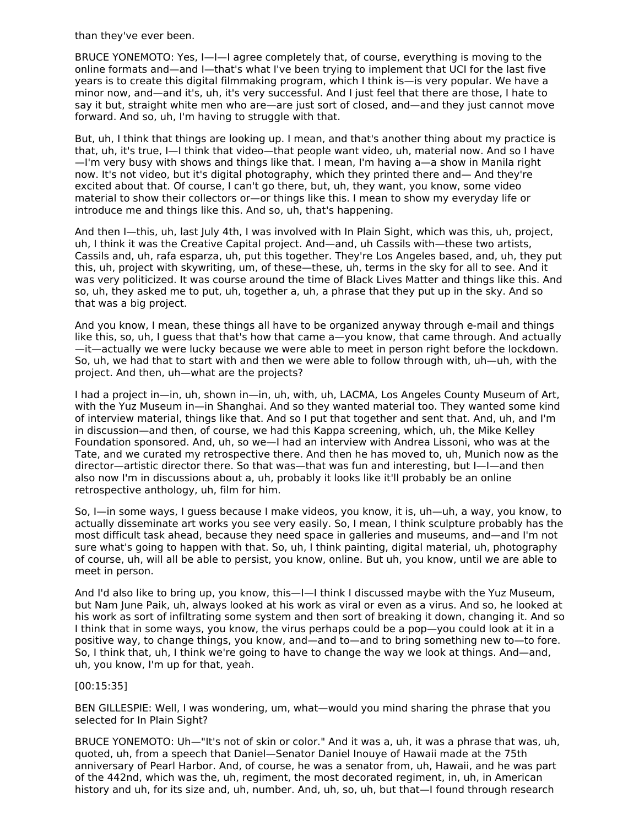than they've ever been.

BRUCE YONEMOTO: Yes, I—I—I agree completely that, of course, everything is moving to the online formats and—and I—that's what I've been trying to implement that UCI for the last five years is to create this digital filmmaking program, which I think is—is very popular. We have a minor now, and—and it's, uh, it's very successful. And I just feel that there are those, I hate to say it but, straight white men who are—are just sort of closed, and—and they just cannot move forward. And so, uh, I'm having to struggle with that.

But, uh, I think that things are looking up. I mean, and that's another thing about my practice is that, uh, it's true, I—I think that video—that people want video, uh, material now. And so I have —I'm very busy with shows and things like that. I mean, I'm having a—a show in Manila right now. It's not video, but it's digital photography, which they printed there and— And they're excited about that. Of course, I can't go there, but, uh, they want, you know, some video material to show their collectors or—or things like this. I mean to show my everyday life or introduce me and things like this. And so, uh, that's happening.

And then I—this, uh, last July 4th, I was involved with In Plain Sight, which was this, uh, project, uh, I think it was the Creative Capital project. And—and, uh Cassils with—these two artists, Cassils and, uh, rafa esparza, uh, put this together. They're Los Angeles based, and, uh, they put this, uh, project with skywriting, um, of these—these, uh, terms in the sky for all to see. And it was very politicized. It was course around the time of Black Lives Matter and things like this. And so, uh, they asked me to put, uh, together a, uh, a phrase that they put up in the sky. And so that was a big project.

And you know, I mean, these things all have to be organized anyway through e-mail and things like this, so, uh, I guess that that's how that came a—you know, that came through. And actually —it—actually we were lucky because we were able to meet in person right before the lockdown. So, uh, we had that to start with and then we were able to follow through with, uh—uh, with the project. And then, uh—what are the projects?

I had a project in—in, uh, shown in—in, uh, with, uh, LACMA, Los Angeles County Museum of Art, with the Yuz Museum in—in Shanghai. And so they wanted material too. They wanted some kind of interview material, things like that. And so I put that together and sent that. And, uh, and I'm in discussion—and then, of course, we had this Kappa screening, which, uh, the Mike Kelley Foundation sponsored. And, uh, so we—I had an interview with Andrea Lissoni, who was at the Tate, and we curated my retrospective there. And then he has moved to, uh, Munich now as the director—artistic director there. So that was—that was fun and interesting, but I—I—and then also now I'm in discussions about a, uh, probably it looks like it'll probably be an online retrospective anthology, uh, film for him.

So, I—in some ways, I guess because I make videos, you know, it is, uh—uh, a way, you know, to actually disseminate art works you see very easily. So, I mean, I think sculpture probably has the most difficult task ahead, because they need space in galleries and museums, and—and I'm not sure what's going to happen with that. So, uh, I think painting, digital material, uh, photography of course, uh, will all be able to persist, you know, online. But uh, you know, until we are able to meet in person.

And I'd also like to bring up, you know, this—I—I think I discussed maybe with the Yuz Museum, but Nam June Paik, uh, always looked at his work as viral or even as a virus. And so, he looked at his work as sort of infiltrating some system and then sort of breaking it down, changing it. And so I think that in some ways, you know, the virus perhaps could be a pop—you could look at it in a positive way, to change things, you know, and—and to—and to bring something new to—to fore. So, I think that, uh, I think we're going to have to change the way we look at things. And—and, uh, you know, I'm up for that, yeah.

#### [00:15:35]

BEN GILLESPIE: Well, I was wondering, um, what—would you mind sharing the phrase that you selected for In Plain Sight?

BRUCE YONEMOTO: Uh—"It's not of skin or color." And it was a, uh, it was a phrase that was, uh, quoted, uh, from a speech that Daniel—Senator Daniel Inouye of Hawaii made at the 75th anniversary of Pearl Harbor. And, of course, he was a senator from, uh, Hawaii, and he was part of the 442nd, which was the, uh, regiment, the most decorated regiment, in, uh, in American history and uh, for its size and, uh, number. And, uh, so, uh, but that—I found through research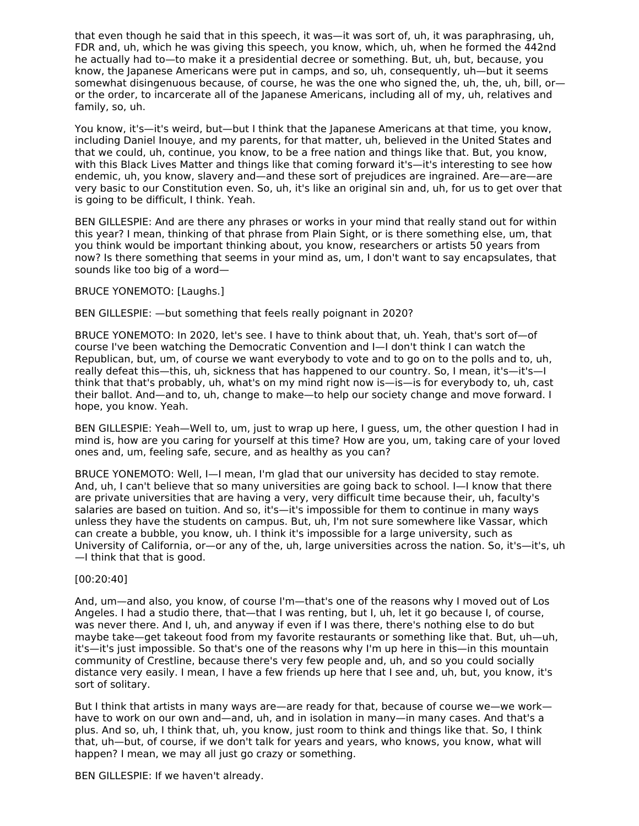that even though he said that in this speech, it was—it was sort of, uh, it was paraphrasing, uh, FDR and, uh, which he was giving this speech, you know, which, uh, when he formed the 442nd he actually had to—to make it a presidential decree or something. But, uh, but, because, you know, the Japanese Americans were put in camps, and so, uh, consequently, uh—but it seems somewhat disingenuous because, of course, he was the one who signed the, uh, the, uh, bill, or or the order, to incarcerate all of the Japanese Americans, including all of my, uh, relatives and family, so, uh.

You know, it's—it's weird, but—but I think that the Japanese Americans at that time, you know, including Daniel Inouye, and my parents, for that matter, uh, believed in the United States and that we could, uh, continue, you know, to be a free nation and things like that. But, you know, with this Black Lives Matter and things like that coming forward it's—it's interesting to see how endemic, uh, you know, slavery and—and these sort of prejudices are ingrained. Are—are—are very basic to our Constitution even. So, uh, it's like an original sin and, uh, for us to get over that is going to be difficult, I think. Yeah.

BEN GILLESPIE: And are there any phrases or works in your mind that really stand out for within this year? I mean, thinking of that phrase from Plain Sight, or is there something else, um, that you think would be important thinking about, you know, researchers or artists 50 years from now? Is there something that seems in your mind as, um, I don't want to say encapsulates, that sounds like too big of a word—

#### BRUCE YONEMOTO: [Laughs.]

BEN GILLESPIE: —but something that feels really poignant in 2020?

BRUCE YONEMOTO: In 2020, let's see. I have to think about that, uh. Yeah, that's sort of—of course I've been watching the Democratic Convention and I—I don't think I can watch the Republican, but, um, of course we want everybody to vote and to go on to the polls and to, uh, really defeat this—this, uh, sickness that has happened to our country. So, I mean, it's—it's—I think that that's probably, uh, what's on my mind right now is—is—is for everybody to, uh, cast their ballot. And—and to, uh, change to make—to help our society change and move forward. I hope, you know. Yeah.

BEN GILLESPIE: Yeah—Well to, um, just to wrap up here, I guess, um, the other question I had in mind is, how are you caring for yourself at this time? How are you, um, taking care of your loved ones and, um, feeling safe, secure, and as healthy as you can?

BRUCE YONEMOTO: Well, I—I mean, I'm glad that our university has decided to stay remote. And, uh, I can't believe that so many universities are going back to school. I—I know that there are private universities that are having a very, very difficult time because their, uh, faculty's salaries are based on tuition. And so, it's—it's impossible for them to continue in many ways unless they have the students on campus. But, uh, I'm not sure somewhere like Vassar, which can create a bubble, you know, uh. I think it's impossible for a large university, such as University of California, or—or any of the, uh, large universities across the nation. So, it's—it's, uh —I think that that is good.

#### [00:20:40]

And, um—and also, you know, of course I'm—that's one of the reasons why I moved out of Los Angeles. I had a studio there, that—that I was renting, but I, uh, let it go because I, of course, was never there. And I, uh, and anyway if even if I was there, there's nothing else to do but maybe take—get takeout food from my favorite restaurants or something like that. But, uh—uh, it's—it's just impossible. So that's one of the reasons why I'm up here in this—in this mountain community of Crestline, because there's very few people and, uh, and so you could socially distance very easily. I mean, I have a few friends up here that I see and, uh, but, you know, it's sort of solitary.

But I think that artists in many ways are—are ready for that, because of course we—we work have to work on our own and—and, uh, and in isolation in many—in many cases. And that's a plus. And so, uh, I think that, uh, you know, just room to think and things like that. So, I think that, uh—but, of course, if we don't talk for years and years, who knows, you know, what will happen? I mean, we may all just go crazy or something.

BEN GILLESPIE: If we haven't already.